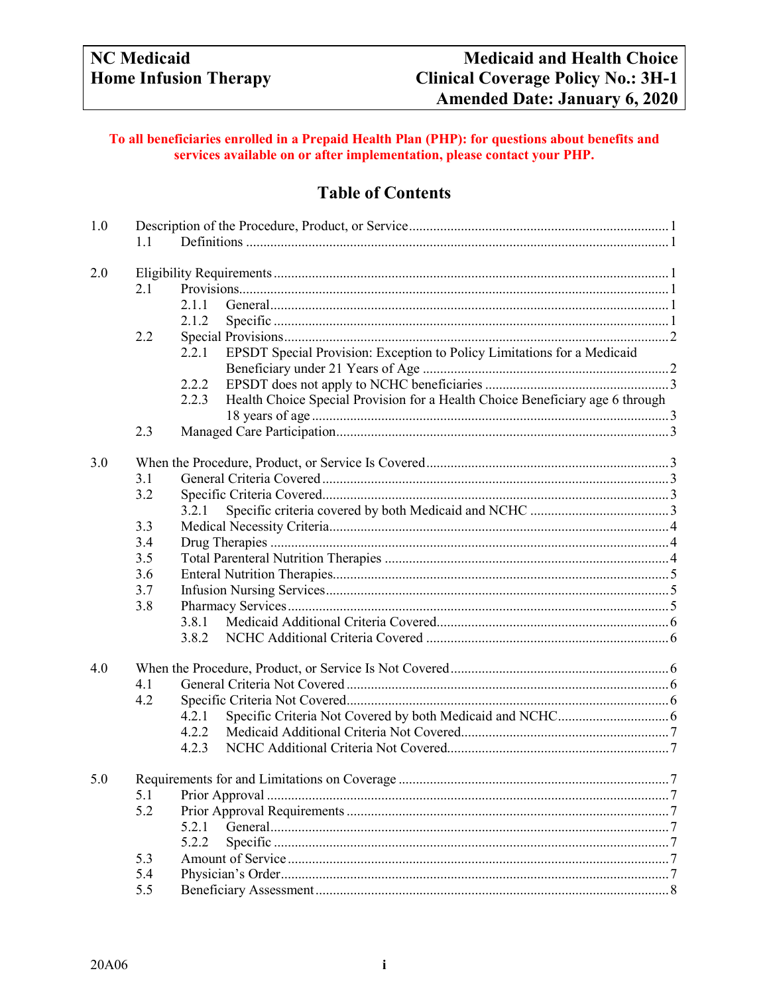## To all beneficiaries enrolled in a Prepaid Health Plan (PHP): for questions about benefits and services available on or after implementation, please contact your PHP.

# **Table of Contents**

| 1.0<br>1.1 |     |                                                                                        |        |  |  |
|------------|-----|----------------------------------------------------------------------------------------|--------|--|--|
|            |     |                                                                                        |        |  |  |
| 2.0        |     |                                                                                        |        |  |  |
|            | 2.1 |                                                                                        |        |  |  |
|            |     | 2.1.1                                                                                  |        |  |  |
|            |     | 2.1.2                                                                                  |        |  |  |
|            | 2.2 |                                                                                        |        |  |  |
|            |     | EPSDT Special Provision: Exception to Policy Limitations for a Medicaid<br>2.2.1       |        |  |  |
|            |     |                                                                                        |        |  |  |
|            |     | 2.2.2                                                                                  |        |  |  |
|            |     | Health Choice Special Provision for a Health Choice Beneficiary age 6 through<br>2.2.3 |        |  |  |
|            |     |                                                                                        |        |  |  |
|            | 2.3 |                                                                                        |        |  |  |
| 3.0        |     |                                                                                        |        |  |  |
|            | 3.1 |                                                                                        |        |  |  |
|            | 3.2 |                                                                                        |        |  |  |
|            |     |                                                                                        |        |  |  |
|            | 3.3 | 3.2.1                                                                                  |        |  |  |
|            | 3.4 |                                                                                        |        |  |  |
|            | 3.5 |                                                                                        |        |  |  |
|            | 3.6 |                                                                                        |        |  |  |
|            |     |                                                                                        |        |  |  |
|            | 3.7 |                                                                                        |        |  |  |
|            | 3.8 |                                                                                        |        |  |  |
|            |     |                                                                                        |        |  |  |
|            |     |                                                                                        |        |  |  |
| 4.0        |     |                                                                                        |        |  |  |
|            | 4.1 |                                                                                        |        |  |  |
|            | 4.2 |                                                                                        |        |  |  |
|            |     | 4.2.1                                                                                  |        |  |  |
|            |     | 4.2.2                                                                                  |        |  |  |
|            |     | 4.2.3                                                                                  |        |  |  |
| 5.0        |     | Requirements for and Limitations on Coverage                                           | $\tau$ |  |  |
|            | 5.1 |                                                                                        |        |  |  |
|            | 5.2 |                                                                                        |        |  |  |
|            |     | 5.2.1                                                                                  |        |  |  |
|            |     | 5.2.2                                                                                  |        |  |  |
|            | 5.3 |                                                                                        |        |  |  |
|            | 5.4 |                                                                                        |        |  |  |
|            | 5.5 |                                                                                        |        |  |  |
|            |     |                                                                                        |        |  |  |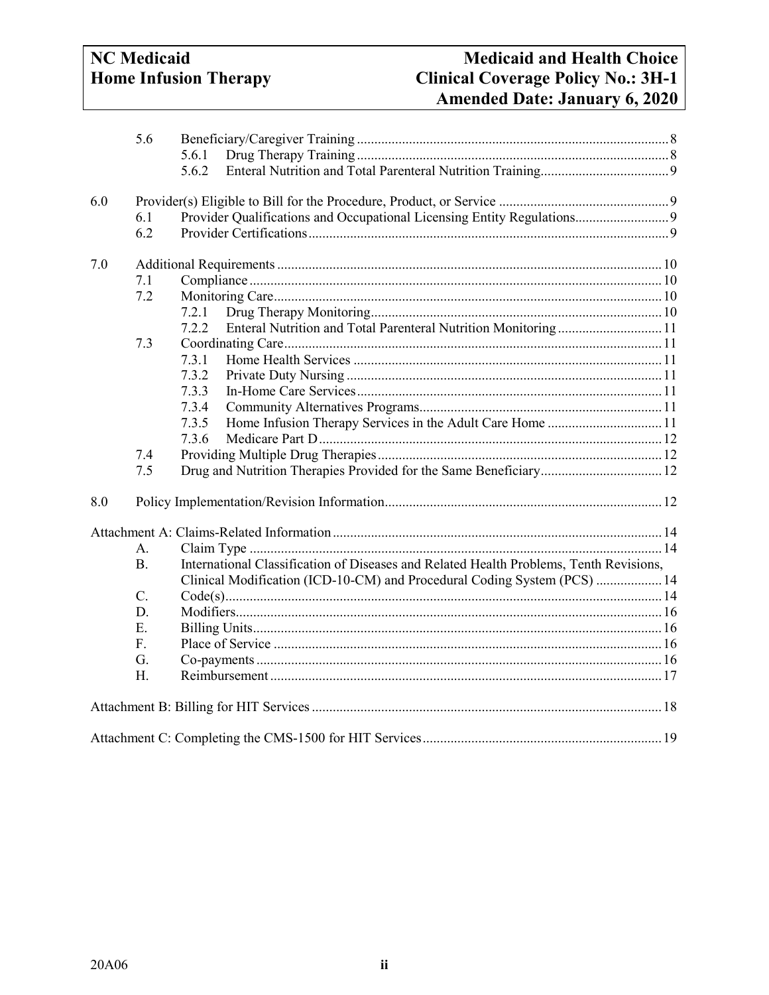# **NC** Medicaid **Home Infusion Therapy**

|     | 5.6        | 5.6.1<br>5.6.2                                                                         |
|-----|------------|----------------------------------------------------------------------------------------|
| 6.0 | 6.1<br>6.2 | Provider Qualifications and Occupational Licensing Entity Regulations 9                |
| 7.0 |            |                                                                                        |
|     | 7.1        |                                                                                        |
|     | 7.2        |                                                                                        |
|     |            | 7.2.1                                                                                  |
|     |            | Enteral Nutrition and Total Parenteral Nutrition Monitoring 11<br>7.2.2                |
|     | 7.3        |                                                                                        |
|     |            | 7.3.1                                                                                  |
|     |            | 7.3.2                                                                                  |
|     |            | 7.3.3                                                                                  |
|     |            | 7.3.4                                                                                  |
|     |            | Home Infusion Therapy Services in the Adult Care Home  11<br>7.3.5                     |
|     |            | 7.3.6                                                                                  |
|     | 7.4        |                                                                                        |
|     | 7.5        |                                                                                        |
| 8.0 |            |                                                                                        |
|     |            |                                                                                        |
|     | A.         |                                                                                        |
|     | <b>B.</b>  | International Classification of Diseases and Related Health Problems, Tenth Revisions, |
|     |            | Clinical Modification (ICD-10-CM) and Procedural Coding System (PCS)  14               |
|     | C.         |                                                                                        |
|     | D.         |                                                                                        |
|     | E.         |                                                                                        |
|     | F.         |                                                                                        |
|     | G.         |                                                                                        |
|     | H.         |                                                                                        |
|     |            |                                                                                        |
|     |            |                                                                                        |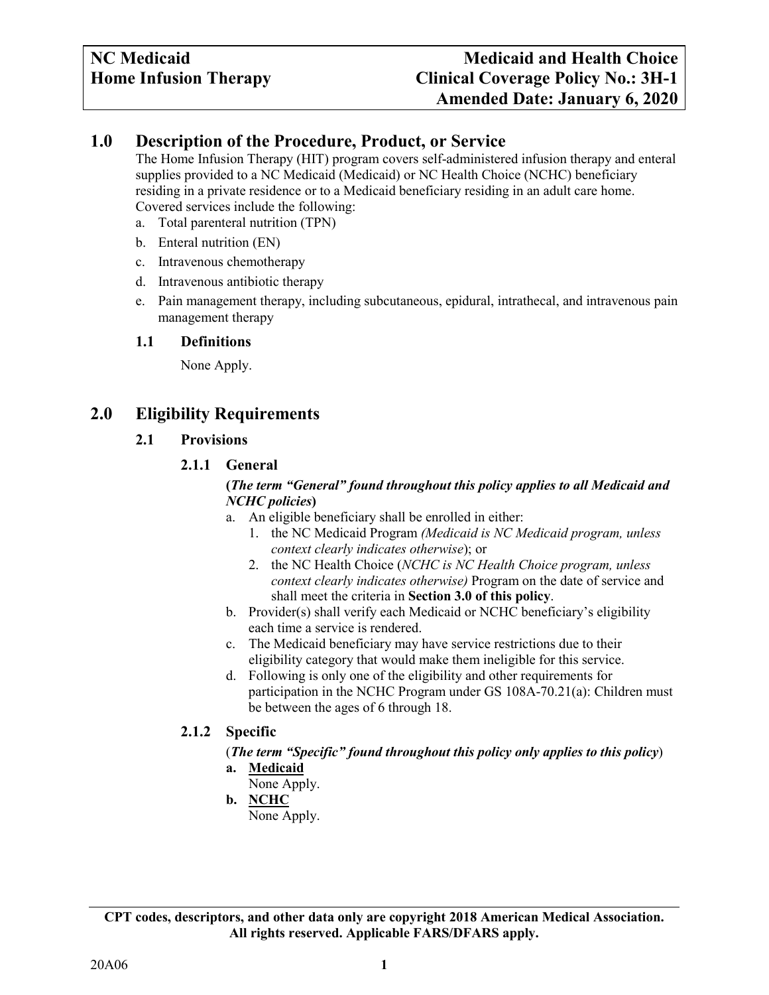## <span id="page-2-0"></span>**1.0 Description of the Procedure, Product, or Service**

The Home Infusion Therapy (HIT) program covers self-administered infusion therapy and enteral supplies provided to a NC Medicaid (Medicaid) or NC Health Choice (NCHC) beneficiary residing in a private residence or to a Medicaid beneficiary residing in an adult care home. Covered services include the following:

- a. Total parenteral nutrition (TPN)
- b. Enteral nutrition (EN)
- c. Intravenous chemotherapy
- d. Intravenous antibiotic therapy
- e. Pain management therapy, including subcutaneous, epidural, intrathecal, and intravenous pain management therapy

## <span id="page-2-1"></span>**1.1 Definitions**

None Apply.

## <span id="page-2-4"></span><span id="page-2-3"></span><span id="page-2-2"></span>**2.0 Eligibility Requirements**

**2.1 Provisions**

## **2.1.1 General**

#### **(***The term "General" found throughout this policy applies to all Medicaid and NCHC policies***)**

- a. An eligible beneficiary shall be enrolled in either:
	- 1. the NC Medicaid Program *(Medicaid is NC Medicaid program, unless context clearly indicates otherwise*); or
	- 2. the NC Health Choice (*NCHC is NC Health Choice program, unless context clearly indicates otherwise)* Program on the date of service and shall meet the criteria in **Section 3.0 of this policy**.
- b. Provider(s) shall verify each Medicaid or NCHC beneficiary's eligibility each time a service is rendered.
- c. The Medicaid beneficiary may have service restrictions due to their eligibility category that would make them ineligible for this service.
- d. Following is only one of the eligibility and other requirements for participation in the NCHC Program under GS 108A-70.21(a): Children must be between the ages of 6 through 18.

## <span id="page-2-5"></span>**2.1.2 Specific**

# (*The term "Specific" found throughout this policy only applies to this policy*)

- **a. Medicaid**
- None Apply.
- **b. NCHC** None Apply.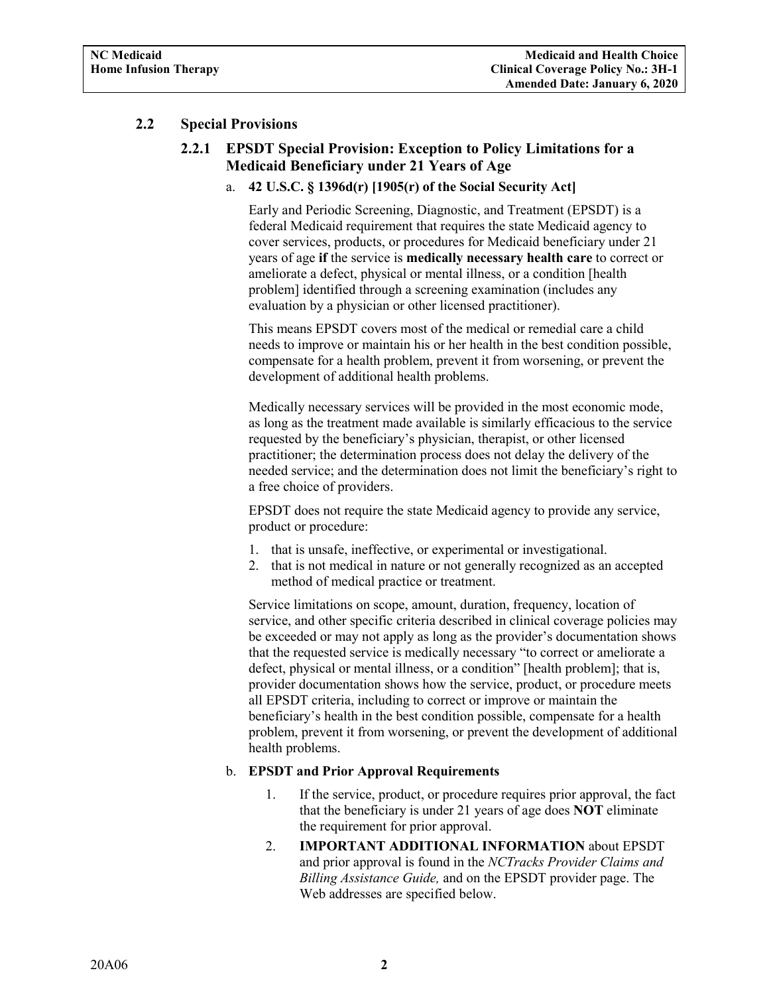## <span id="page-3-1"></span><span id="page-3-0"></span>**2.2 Special Provisions**

## **2.2.1 EPSDT Special Provision: Exception to Policy Limitations for a Medicaid Beneficiary under 21 Years of Age**

## a. **42 U.S.C. § 1396d(r) [1905(r) of the Social Security Act]**

Early and Periodic Screening, Diagnostic, and Treatment (EPSDT) is a federal Medicaid requirement that requires the state Medicaid agency to cover services, products, or procedures for Medicaid beneficiary under 21 years of age **if** the service is **medically necessary health care** to correct or ameliorate a defect, physical or mental illness, or a condition [health problem] identified through a screening examination (includes any evaluation by a physician or other licensed practitioner).

This means EPSDT covers most of the medical or remedial care a child needs to improve or maintain his or her health in the best condition possible, compensate for a health problem, prevent it from worsening, or prevent the development of additional health problems.

Medically necessary services will be provided in the most economic mode, as long as the treatment made available is similarly efficacious to the service requested by the beneficiary's physician, therapist, or other licensed practitioner; the determination process does not delay the delivery of the needed service; and the determination does not limit the beneficiary's right to a free choice of providers.

EPSDT does not require the state Medicaid agency to provide any service, product or procedure:

- 1. that is unsafe, ineffective, or experimental or investigational.
- 2. that is not medical in nature or not generally recognized as an accepted method of medical practice or treatment.

Service limitations on scope, amount, duration, frequency, location of service, and other specific criteria described in clinical coverage policies may be exceeded or may not apply as long as the provider's documentation shows that the requested service is medically necessary "to correct or ameliorate a defect, physical or mental illness, or a condition" [health problem]; that is, provider documentation shows how the service, product, or procedure meets all EPSDT criteria, including to correct or improve or maintain the beneficiary's health in the best condition possible, compensate for a health problem, prevent it from worsening, or prevent the development of additional health problems.

## b. **EPSDT and Prior Approval Requirements**

- 1. If the service, product, or procedure requires prior approval, the fact that the beneficiary is under 21 years of age does **NOT** eliminate the requirement for prior approval.
- 2. **IMPORTANT ADDITIONAL INFORMATION** about EPSDT and prior approval is found in the *NCTracks Provider Claims and Billing Assistance Guide,* and on the EPSDT provider page. The Web addresses are specified below.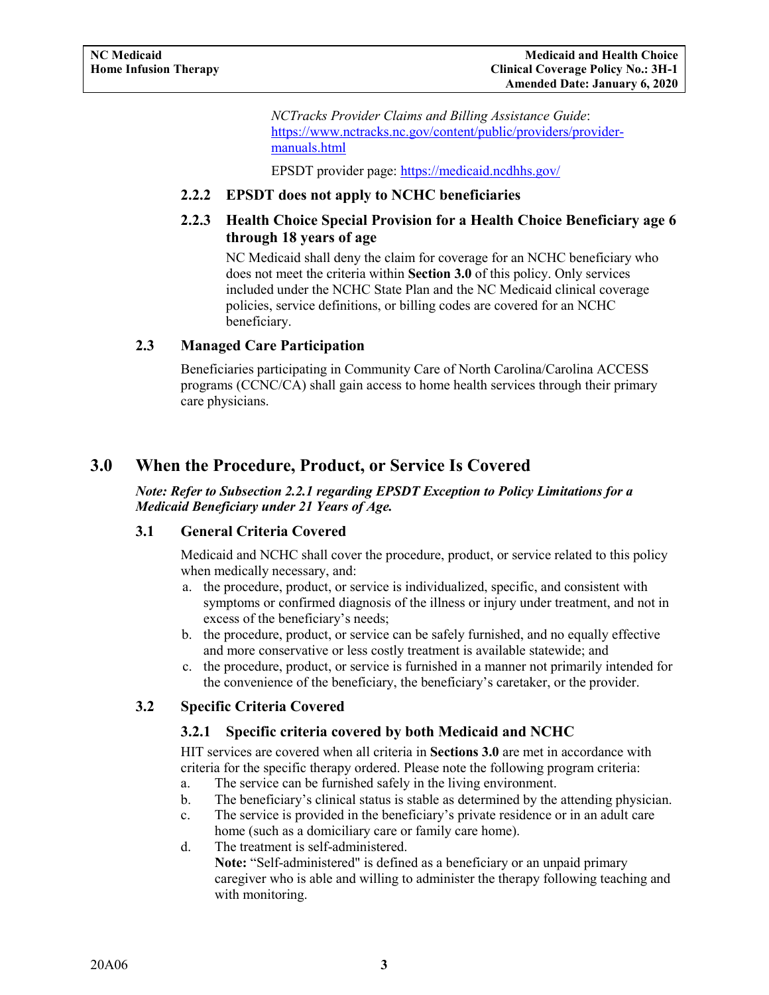*NCTracks Provider Claims and Billing Assistance Guide*: [https://www.nctracks.nc.gov/content/public/providers/provider](https://www.nctracks.nc.gov/content/public/providers/provider-manuals.html)[manuals.html](https://www.nctracks.nc.gov/content/public/providers/provider-manuals.html)

EPSDT provider page: <https://medicaid.ncdhhs.gov/>

## <span id="page-4-0"></span>**2.2.2 EPSDT does not apply to NCHC beneficiaries**

## <span id="page-4-1"></span>**2.2.3 Health Choice Special Provision for a Health Choice Beneficiary age 6 through 18 years of age**

NC Medicaid shall deny the claim for coverage for an NCHC beneficiary who does not meet the criteria within **Section 3.0** of this policy. Only services included under the NCHC State Plan and the NC Medicaid clinical coverage policies, service definitions, or billing codes are covered for an NCHC beneficiary.

## <span id="page-4-2"></span>**2.3 Managed Care Participation**

Beneficiaries participating in Community Care of North Carolina/Carolina ACCESS programs (CCNC/CA) shall gain access to home health services through their primary care physicians.

## <span id="page-4-3"></span>**3.0 When the Procedure, Product, or Service Is Covered**

#### *Note: Refer to Subsection 2.2.1 regarding EPSDT Exception to Policy Limitations for a Medicaid Beneficiary under 21 Years of Age.*

## <span id="page-4-4"></span>**3.1 General Criteria Covered**

Medicaid and NCHC shall cover the procedure, product, or service related to this policy when medically necessary, and:

- a. the procedure, product, or service is individualized, specific, and consistent with symptoms or confirmed diagnosis of the illness or injury under treatment, and not in excess of the beneficiary's needs;
- b. the procedure, product, or service can be safely furnished, and no equally effective and more conservative or less costly treatment is available statewide; and
- c. the procedure, product, or service is furnished in a manner not primarily intended for the convenience of the beneficiary, the beneficiary's caretaker, or the provider.

## <span id="page-4-6"></span><span id="page-4-5"></span>**3.2 Specific Criteria Covered**

## **3.2.1 Specific criteria covered by both Medicaid and NCHC**

HIT services are covered when all criteria in **Sections 3.0** are met in accordance with criteria for the specific therapy ordered. Please note the following program criteria:

- a. The service can be furnished safely in the living environment.
- b. The beneficiary's clinical status is stable as determined by the attending physician.
- c. The service is provided in the beneficiary's private residence or in an adult care home (such as a domiciliary care or family care home).
- d. The treatment is self-administered.

**Note:** "Self-administered" is defined as a beneficiary or an unpaid primary caregiver who is able and willing to administer the therapy following teaching and with monitoring.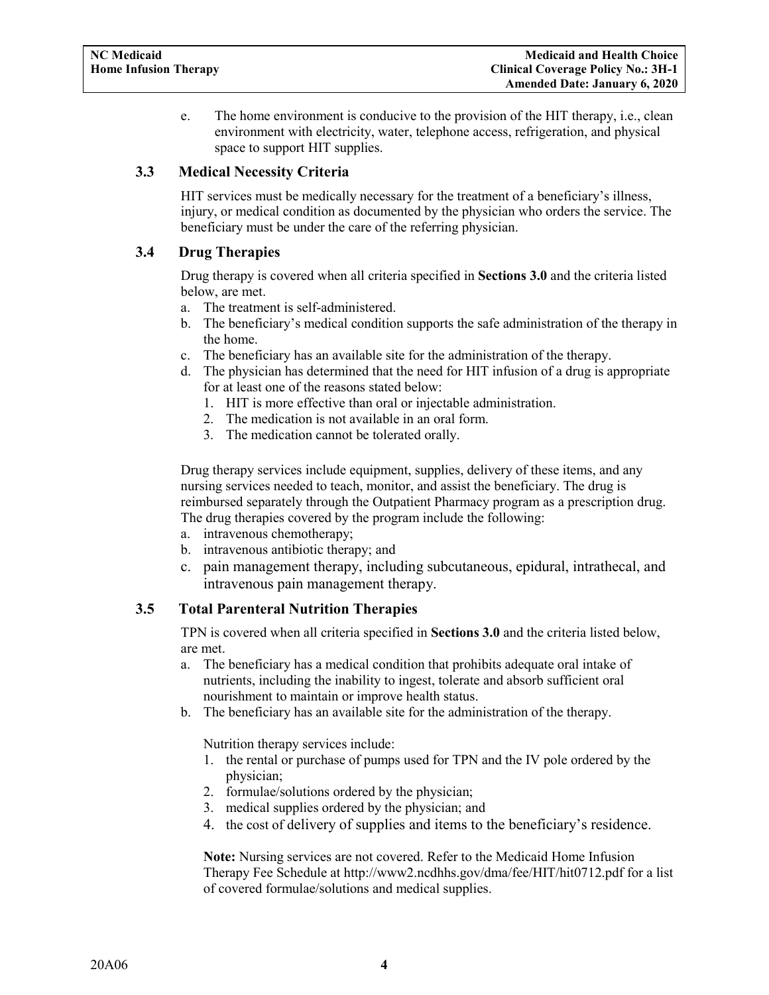<span id="page-5-3"></span>e. The home environment is conducive to the provision of the HIT therapy, i.e., clean environment with electricity, water, telephone access, refrigeration, and physical space to support HIT supplies.

## <span id="page-5-0"></span>**3.3 Medical Necessity Criteria**

HIT services must be medically necessary for the treatment of a beneficiary's illness, injury, or medical condition as documented by the physician who orders the service. The beneficiary must be under the care of the referring physician.

## <span id="page-5-1"></span>**3.4 Drug Therapies**

Drug therapy is covered when all criteria specified in **Sections 3.0** and the criteria listed below, are met.

- a. The treatment is self-administered.
- b. The beneficiary's medical condition supports the safe administration of the therapy in the home.
- c. The beneficiary has an available site for the administration of the therapy.
- d. The physician has determined that the need for HIT infusion of a drug is appropriate for at least one of the reasons stated below:
	- 1. HIT is more effective than oral or injectable administration.
	- 2. The medication is not available in an oral form.
	- 3. The medication cannot be tolerated orally.

Drug therapy services include equipment, supplies, delivery of these items, and any nursing services needed to teach, monitor, and assist the beneficiary. The drug is reimbursed separately through the Outpatient Pharmacy program as a prescription drug. The drug therapies covered by the program include the following:

- a. intravenous chemotherapy;
- b. intravenous antibiotic therapy; and
- c. pain management therapy, including subcutaneous, epidural, intrathecal, and intravenous pain management therapy.

## <span id="page-5-2"></span>**3.5 Total Parenteral Nutrition Therapies**

TPN is covered when all criteria specified in **Sections 3.0** and the criteria listed below, are met.

- a. The beneficiary has a medical condition that prohibits adequate oral intake of nutrients, including the inability to ingest, tolerate and absorb sufficient oral nourishment to maintain or improve health status.
- b. The beneficiary has an available site for the administration of the therapy.

Nutrition therapy services include:

- 1. the rental or purchase of pumps used for TPN and the IV pole ordered by the physician;
- 2. formulae/solutions ordered by the physician;
- 3. medical supplies ordered by the physician; and
- 4. the cost of delivery of supplies and items to the beneficiary's residence.

**Note:** Nursing services are not covered. Refer to the Medicaid Home Infusion Therapy Fee Schedule at http://www2.ncdhhs.gov/dma/fee/HIT/hit0712.pdf for a list of covered formulae/solutions and medical supplies.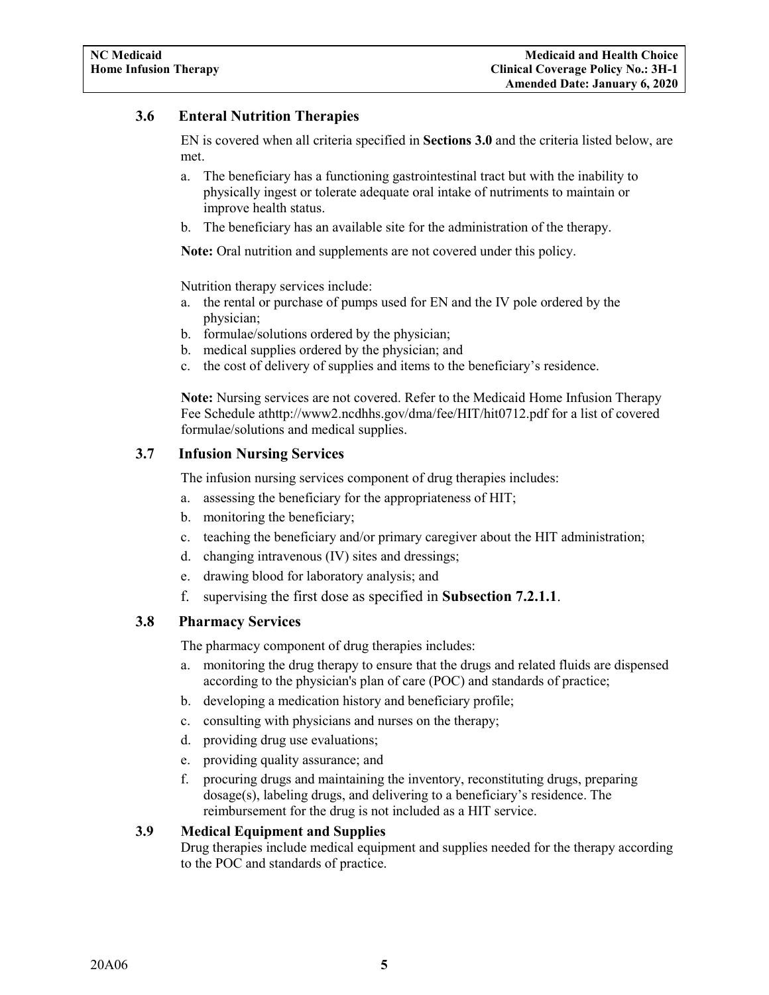## **3.6 Enteral Nutrition Therapies**

EN is covered when all criteria specified in **Sections 3.0** and the criteria listed below, are met.

- a. The beneficiary has a functioning gastrointestinal tract but with the inability to physically ingest or tolerate adequate oral intake of nutriments to maintain or improve health status.
- b. The beneficiary has an available site for the administration of the therapy.

**Note:** Oral nutrition and supplements are not covered under this policy.

Nutrition therapy services include:

- a. the rental or purchase of pumps used for EN and the IV pole ordered by the physician;
- b. formulae/solutions ordered by the physician;
- b. medical supplies ordered by the physician; and
- c. the cost of delivery of supplies and items to the beneficiary's residence.

**Note:** Nursing services are not covered. Refer to the Medicaid Home Infusion Therapy Fee Schedule athttp://www2.ncdhhs.gov/dma/fee/HIT/hit0712.pdf for a list of covered formulae/solutions and medical supplies.

## <span id="page-6-0"></span>**3.7 Infusion Nursing Services**

The infusion nursing services component of drug therapies includes:

- a. assessing the beneficiary for the appropriateness of HIT;
- b. monitoring the beneficiary;
- c. teaching the beneficiary and/or primary caregiver about the HIT administration;
- d. changing intravenous (IV) sites and dressings;
- e. drawing blood for laboratory analysis; and
- f. supervising the first dose as specified in **Subsection 7.2.1.1**.

## <span id="page-6-1"></span>**3.8 Pharmacy Services**

The pharmacy component of drug therapies includes:

- a. monitoring the drug therapy to ensure that the drugs and related fluids are dispensed according to the physician's plan of care (POC) and standards of practice;
- b. developing a medication history and beneficiary profile;
- c. consulting with physicians and nurses on the therapy;
- d. providing drug use evaluations;
- e. providing quality assurance; and
- f. procuring drugs and maintaining the inventory, reconstituting drugs, preparing dosage(s), labeling drugs, and delivering to a beneficiary's residence. The reimbursement for the drug is not included as a HIT service.

## **3.9 Medical Equipment and Supplies**

Drug therapies include medical equipment and supplies needed for the therapy according to the POC and standards of practice.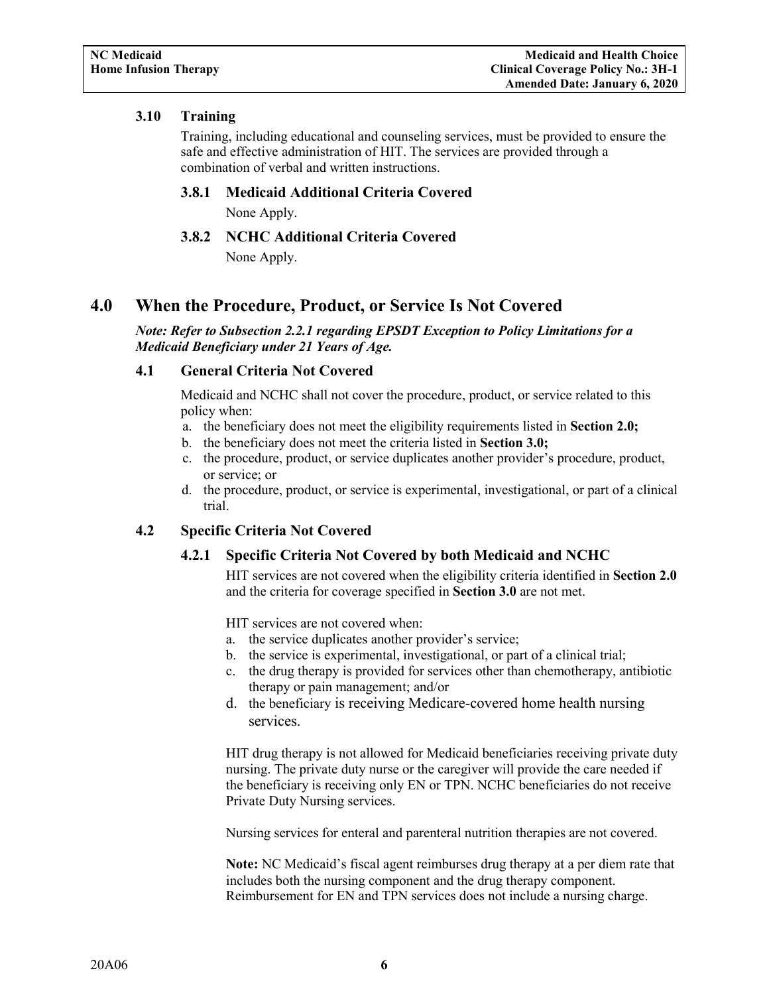## <span id="page-7-6"></span><span id="page-7-0"></span>**3.10 Training**

Training, including educational and counseling services, must be provided to ensure the safe and effective administration of HIT. The services are provided through a combination of verbal and written instructions.

## **3.8.1 Medicaid Additional Criteria Covered**

None Apply.

## **3.8.2 NCHC Additional Criteria Covered**

None Apply.

## <span id="page-7-2"></span><span id="page-7-1"></span>**4.0 When the Procedure, Product, or Service Is Not Covered**

*Note: Refer to Subsection 2.2.1 regarding EPSDT Exception to Policy Limitations for a Medicaid Beneficiary under 21 Years of Age.*

## <span id="page-7-3"></span>**4.1 General Criteria Not Covered**

Medicaid and NCHC shall not cover the procedure, product, or service related to this policy when:

- a. the beneficiary does not meet the eligibility requirements listed in **Section 2.0;**
- b. the beneficiary does not meet the criteria listed in **Section 3.0;**
- c. the procedure, product, or service duplicates another provider's procedure, product, or service; or
- d. the procedure, product, or service is experimental, investigational, or part of a clinical trial.

## <span id="page-7-5"></span><span id="page-7-4"></span>**4.2 Specific Criteria Not Covered**

## **4.2.1 Specific Criteria Not Covered by both Medicaid and NCHC**

HIT services are not covered when the eligibility criteria identified in **Section 2.0** and the criteria for coverage specified in **Section 3.0** are not met.

HIT services are not covered when:

- a. the service duplicates another provider's service;
- b. the service is experimental, investigational, or part of a clinical trial;
- c. the drug therapy is provided for services other than chemotherapy, antibiotic therapy or pain management; and/or
- d. the beneficiary is receiving Medicare-covered home health nursing services.

HIT drug therapy is not allowed for Medicaid beneficiaries receiving private duty nursing. The private duty nurse or the caregiver will provide the care needed if the beneficiary is receiving only EN or TPN. NCHC beneficiaries do not receive Private Duty Nursing services.

Nursing services for enteral and parenteral nutrition therapies are not covered.

**Note:** NC Medicaid's fiscal agent reimburses drug therapy at a per diem rate that includes both the nursing component and the drug therapy component. Reimbursement for EN and TPN services does not include a nursing charge.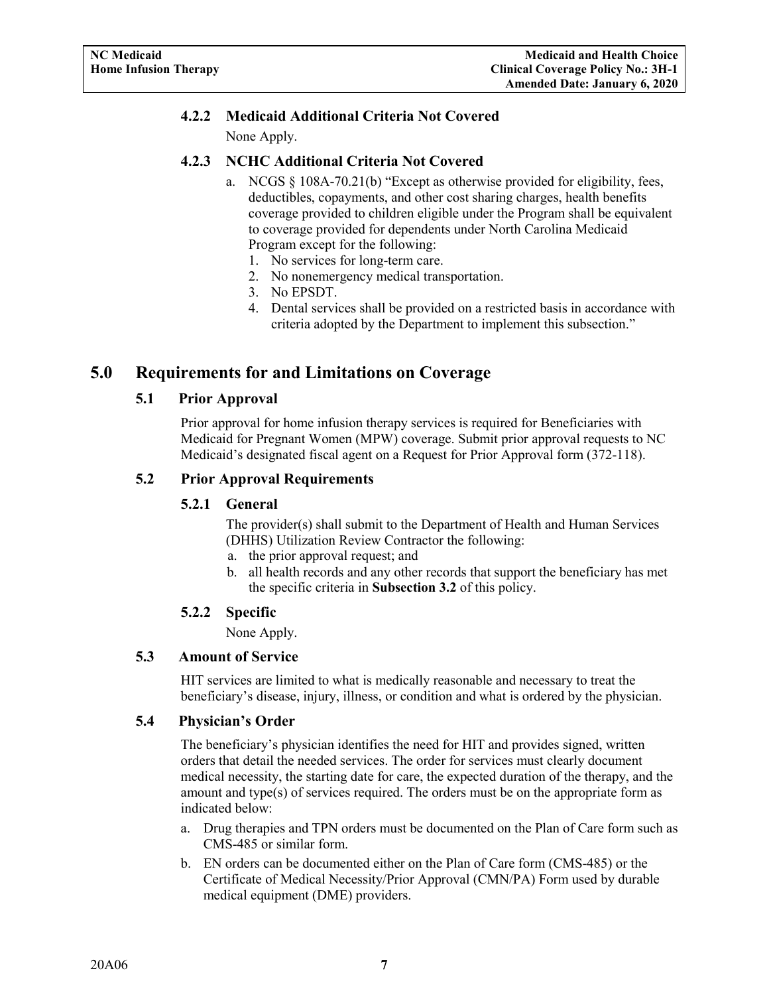## **4.2.2 Medicaid Additional Criteria Not Covered**

None Apply.

## <span id="page-8-0"></span>**4.2.3 NCHC Additional Criteria Not Covered**

- a. NCGS § 108A-70.21(b) "Except as otherwise provided for eligibility, fees, deductibles, copayments, and other cost sharing charges, health benefits coverage provided to children eligible under the Program shall be equivalent to coverage provided for dependents under North Carolina Medicaid Program except for the following:
	- 1. No services for long-term care.
	- 2. No nonemergency medical transportation.
	- 3. No EPSDT.
	- 4. Dental services shall be provided on a restricted basis in accordance with criteria adopted by the Department to implement this subsection."

## <span id="page-8-2"></span><span id="page-8-1"></span>**5.0 Requirements for and Limitations on Coverage**

## **5.1 Prior Approval**

Prior approval for home infusion therapy services is required for Beneficiaries with Medicaid for Pregnant Women (MPW) coverage. Submit prior approval requests to NC Medicaid's designated fiscal agent on a Request for Prior Approval form (372-118).

## <span id="page-8-4"></span><span id="page-8-3"></span>**5.2 Prior Approval Requirements**

## **5.2.1 General**

The provider(s) shall submit to the Department of Health and Human Services (DHHS) Utilization Review Contractor the following:

- a. the prior approval request; and
- b. all health records and any other records that support the beneficiary has met the specific criteria in **Subsection 3.2** of this policy.

## **5.2.2 Specific**

None Apply.

## <span id="page-8-6"></span><span id="page-8-5"></span>**5.3 Amount of Service**

HIT services are limited to what is medically reasonable and necessary to treat the beneficiary's disease, injury, illness, or condition and what is ordered by the physician.

## <span id="page-8-7"></span>**5.4 Physician's Order**

The beneficiary's physician identifies the need for HIT and provides signed, written orders that detail the needed services. The order for services must clearly document medical necessity, the starting date for care, the expected duration of the therapy, and the amount and type(s) of services required. The orders must be on the appropriate form as indicated below:

- a. Drug therapies and TPN orders must be documented on the Plan of Care form such as CMS-485 or similar form.
- b. EN orders can be documented either on the Plan of Care form (CMS-485) or the Certificate of Medical Necessity/Prior Approval (CMN/PA) Form used by durable medical equipment (DME) providers.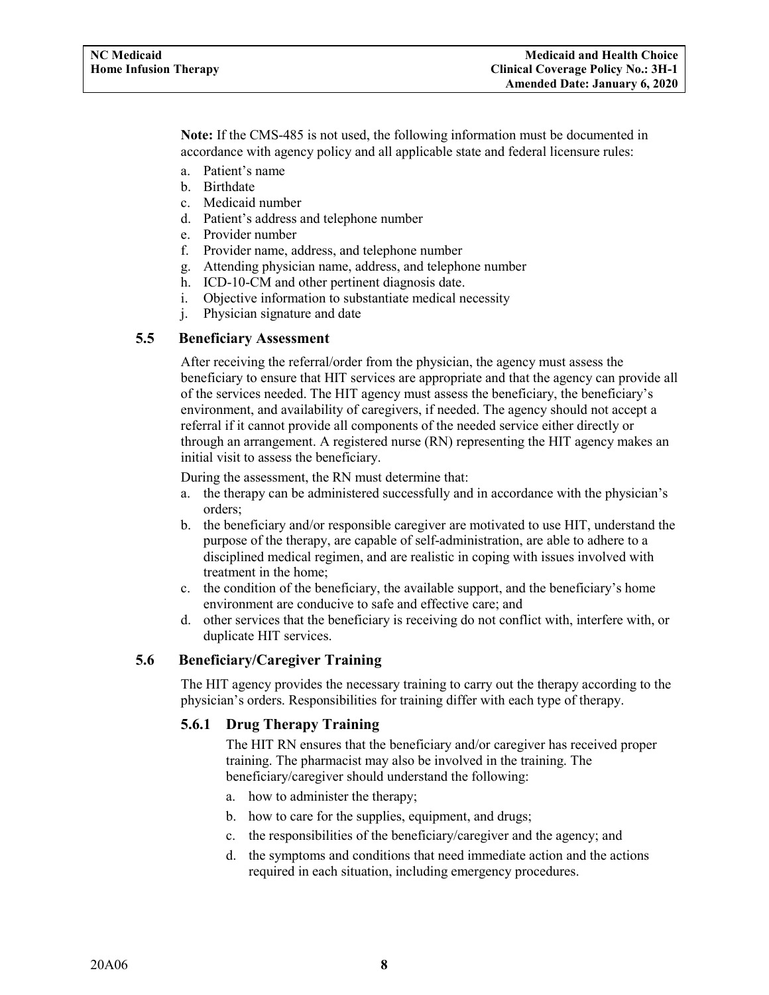**Note:** If the CMS-485 is not used, the following information must be documented in accordance with agency policy and all applicable state and federal licensure rules:

- a. Patient's name
- b. Birthdate
- c. Medicaid number
- d. Patient's address and telephone number
- e. Provider number
- f. Provider name, address, and telephone number
- g. Attending physician name, address, and telephone number
- h. ICD-10-CM and other pertinent diagnosis date.
- i. Objective information to substantiate medical necessity
- j. Physician signature and date

## <span id="page-9-0"></span>**5.5 Beneficiary Assessment**

After receiving the referral/order from the physician, the agency must assess the beneficiary to ensure that HIT services are appropriate and that the agency can provide all of the services needed. The HIT agency must assess the beneficiary, the beneficiary's environment, and availability of caregivers, if needed. The agency should not accept a referral if it cannot provide all components of the needed service either directly or through an arrangement. A registered nurse (RN) representing the HIT agency makes an initial visit to assess the beneficiary.

During the assessment, the RN must determine that:

- a. the therapy can be administered successfully and in accordance with the physician's orders;
- b. the beneficiary and/or responsible caregiver are motivated to use HIT, understand the purpose of the therapy, are capable of self-administration, are able to adhere to a disciplined medical regimen, and are realistic in coping with issues involved with treatment in the home;
- c. the condition of the beneficiary, the available support, and the beneficiary's home environment are conducive to safe and effective care; and
- d. other services that the beneficiary is receiving do not conflict with, interfere with, or duplicate HIT services.

## <span id="page-9-2"></span><span id="page-9-1"></span>**5.6 Beneficiary/Caregiver Training**

The HIT agency provides the necessary training to carry out the therapy according to the physician's orders. Responsibilities for training differ with each type of therapy.

## **5.6.1 Drug Therapy Training**

The HIT RN ensures that the beneficiary and/or caregiver has received proper training. The pharmacist may also be involved in the training. The beneficiary/caregiver should understand the following:

- a. how to administer the therapy;
- b. how to care for the supplies, equipment, and drugs;
- c. the responsibilities of the beneficiary/caregiver and the agency; and
- d. the symptoms and conditions that need immediate action and the actions required in each situation, including emergency procedures.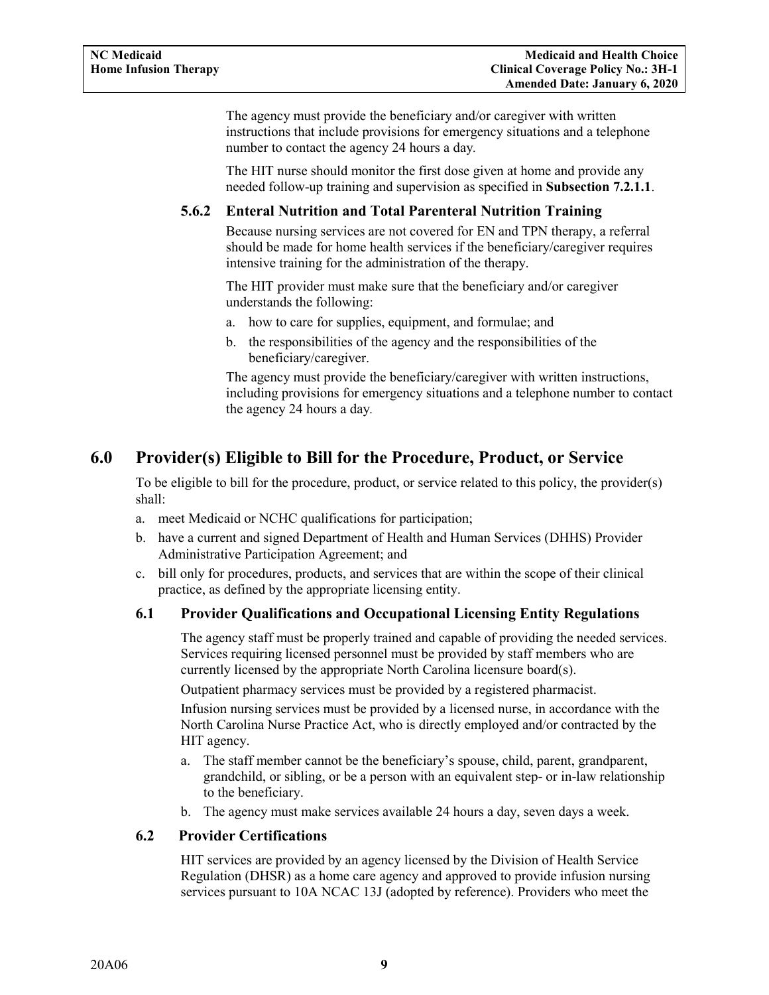The agency must provide the beneficiary and/or caregiver with written instructions that include provisions for emergency situations and a telephone number to contact the agency 24 hours a day*.* 

The HIT nurse should monitor the first dose given at home and provide any needed follow-up training and supervision as specified in **Subsection 7.2.1.1**.

## <span id="page-10-0"></span>**5.6.2 Enteral Nutrition and Total Parenteral Nutrition Training**

Because nursing services are not covered for EN and TPN therapy, a referral should be made for home health services if the beneficiary/caregiver requires intensive training for the administration of the therapy.

The HIT provider must make sure that the beneficiary and/or caregiver understands the following:

- a. how to care for supplies, equipment, and formulae; and
- b. the responsibilities of the agency and the responsibilities of the beneficiary/caregiver.

The agency must provide the beneficiary/caregiver with written instructions, including provisions for emergency situations and a telephone number to contact the agency 24 hours a day*.* 

## <span id="page-10-1"></span>**6.0 Provider(s) Eligible to Bill for the Procedure, Product, or Service**

To be eligible to bill for the procedure, product, or service related to this policy, the provider(s) shall:

- a. meet Medicaid or NCHC qualifications for participation;
- b. have a current and signed Department of Health and Human Services (DHHS) Provider Administrative Participation Agreement; and
- c. bill only for procedures, products, and services that are within the scope of their clinical practice, as defined by the appropriate licensing entity.

## <span id="page-10-2"></span>**6.1 Provider Qualifications and Occupational Licensing Entity Regulations**

The agency staff must be properly trained and capable of providing the needed services. Services requiring licensed personnel must be provided by staff members who are currently licensed by the appropriate North Carolina licensure board(s).

Outpatient pharmacy services must be provided by a registered pharmacist.

Infusion nursing services must be provided by a licensed nurse, in accordance with the North Carolina Nurse Practice Act, who is directly employed and/or contracted by the HIT agency.

- a. The staff member cannot be the beneficiary's spouse, child, parent, grandparent, grandchild, or sibling, or be a person with an equivalent step- or in-law relationship to the beneficiary.
- b. The agency must make services available 24 hours a day, seven days a week.

## <span id="page-10-3"></span>**6.2 Provider Certifications**

HIT services are provided by an agency licensed by the Division of Health Service Regulation (DHSR) as a home care agency and approved to provide infusion nursing services pursuant to 10A NCAC 13J (adopted by reference). Providers who meet the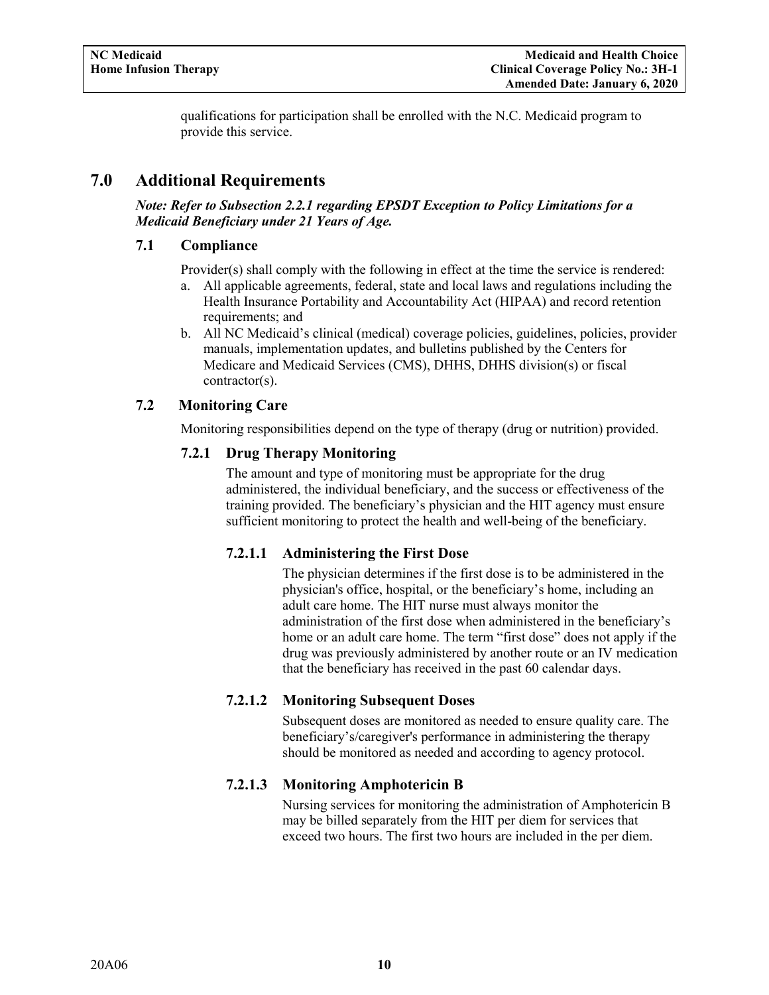qualifications for participation shall be enrolled with the N.C. Medicaid program to provide this service.

## <span id="page-11-0"></span>**7.0 Additional Requirements**

#### *Note: Refer to Subsection 2.2.1 regarding EPSDT Exception to Policy Limitations for a Medicaid Beneficiary under 21 Years of Age.*

## <span id="page-11-1"></span>**7.1 Compliance**

Provider(s) shall comply with the following in effect at the time the service is rendered:

- a. All applicable agreements, federal, state and local laws and regulations including the Health Insurance Portability and Accountability Act (HIPAA) and record retention requirements; and
- b. All NC Medicaid's clinical (medical) coverage policies, guidelines, policies, provider manuals, implementation updates, and bulletins published by the Centers for Medicare and Medicaid Services (CMS), DHHS, DHHS division(s) or fiscal contractor(s).

## <span id="page-11-3"></span><span id="page-11-2"></span>**7.2 Monitoring Care**

Monitoring responsibilities depend on the type of therapy (drug or nutrition) provided.

## **7.2.1 Drug Therapy Monitoring**

The amount and type of monitoring must be appropriate for the drug administered, the individual beneficiary, and the success or effectiveness of the training provided. The beneficiary's physician and the HIT agency must ensure sufficient monitoring to protect the health and well-being of the beneficiary.

## **7.2.1.1 Administering the First Dose**

The physician determines if the first dose is to be administered in the physician's office, hospital, or the beneficiary's home, including an adult care home. The HIT nurse must always monitor the administration of the first dose when administered in the beneficiary's home or an adult care home. The term "first dose" does not apply if the drug was previously administered by another route or an IV medication that the beneficiary has received in the past 60 calendar days.

## **7.2.1.2 Monitoring Subsequent Doses**

Subsequent doses are monitored as needed to ensure quality care. The beneficiary's/caregiver's performance in administering the therapy should be monitored as needed and according to agency protocol.

## **7.2.1.3 Monitoring Amphotericin B**

Nursing services for monitoring the administration of Amphotericin B may be billed separately from the HIT per diem for services that exceed two hours. The first two hours are included in the per diem.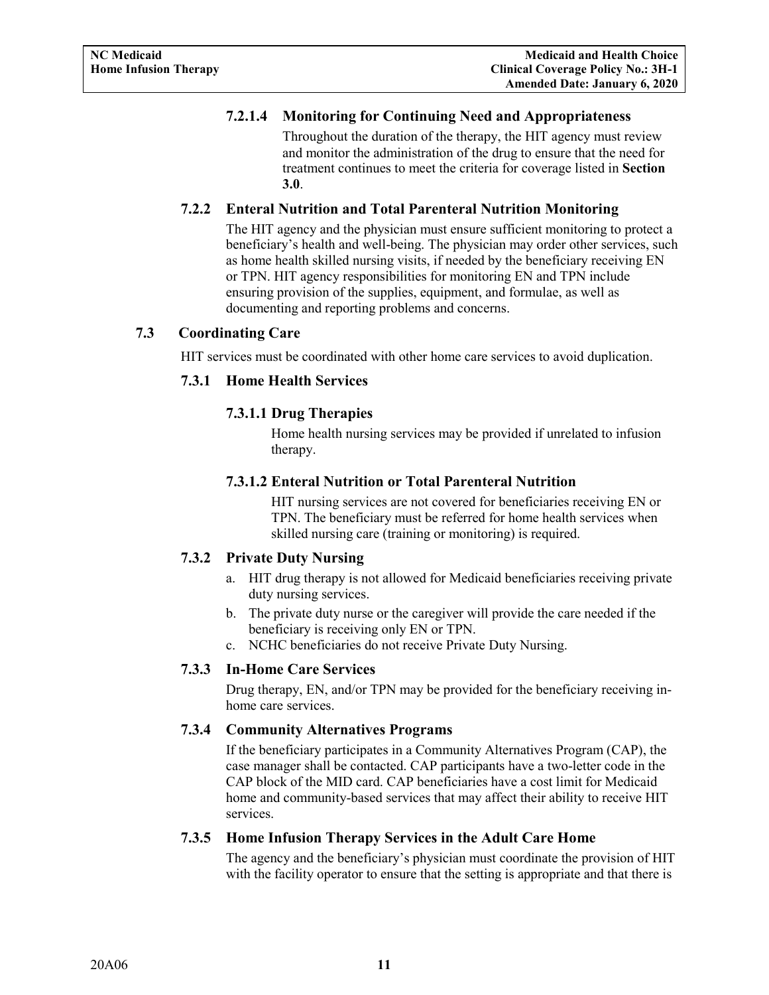## **7.2.1.4 Monitoring for Continuing Need and Appropriateness**

Throughout the duration of the therapy, the HIT agency must review and monitor the administration of the drug to ensure that the need for treatment continues to meet the criteria for coverage listed in **Section 3.0**.

## <span id="page-12-0"></span>**7.2.2 Enteral Nutrition and Total Parenteral Nutrition Monitoring**

The HIT agency and the physician must ensure sufficient monitoring to protect a beneficiary's health and well-being. The physician may order other services, such as home health skilled nursing visits, if needed by the beneficiary receiving EN or TPN. HIT agency responsibilities for monitoring EN and TPN include ensuring provision of the supplies, equipment, and formulae, as well as documenting and reporting problems and concerns.

## <span id="page-12-2"></span><span id="page-12-1"></span>**7.3 Coordinating Care**

HIT services must be coordinated with other home care services to avoid duplication.

## **7.3.1 Home Health Services**

## **7.3.1.1 Drug Therapies**

Home health nursing services may be provided if unrelated to infusion therapy.

## **7.3.1.2 Enteral Nutrition or Total Parenteral Nutrition**

HIT nursing services are not covered for beneficiaries receiving EN or TPN. The beneficiary must be referred for home health services when skilled nursing care (training or monitoring) is required.

## <span id="page-12-3"></span>**7.3.2 Private Duty Nursing**

- a. HIT drug therapy is not allowed for Medicaid beneficiaries receiving private duty nursing services.
- b. The private duty nurse or the caregiver will provide the care needed if the beneficiary is receiving only EN or TPN.
- c. NCHC beneficiaries do not receive Private Duty Nursing.

## <span id="page-12-4"></span>**7.3.3 In-Home Care Services**

Drug therapy, EN, and/or TPN may be provided for the beneficiary receiving inhome care services.

## <span id="page-12-5"></span>**7.3.4 Community Alternatives Programs**

If the beneficiary participates in a Community Alternatives Program (CAP), the case manager shall be contacted. CAP participants have a two-letter code in the CAP block of the MID card. CAP beneficiaries have a cost limit for Medicaid home and community-based services that may affect their ability to receive HIT services.

## <span id="page-12-6"></span>**7.3.5 Home Infusion Therapy Services in the Adult Care Home**

The agency and the beneficiary's physician must coordinate the provision of HIT with the facility operator to ensure that the setting is appropriate and that there is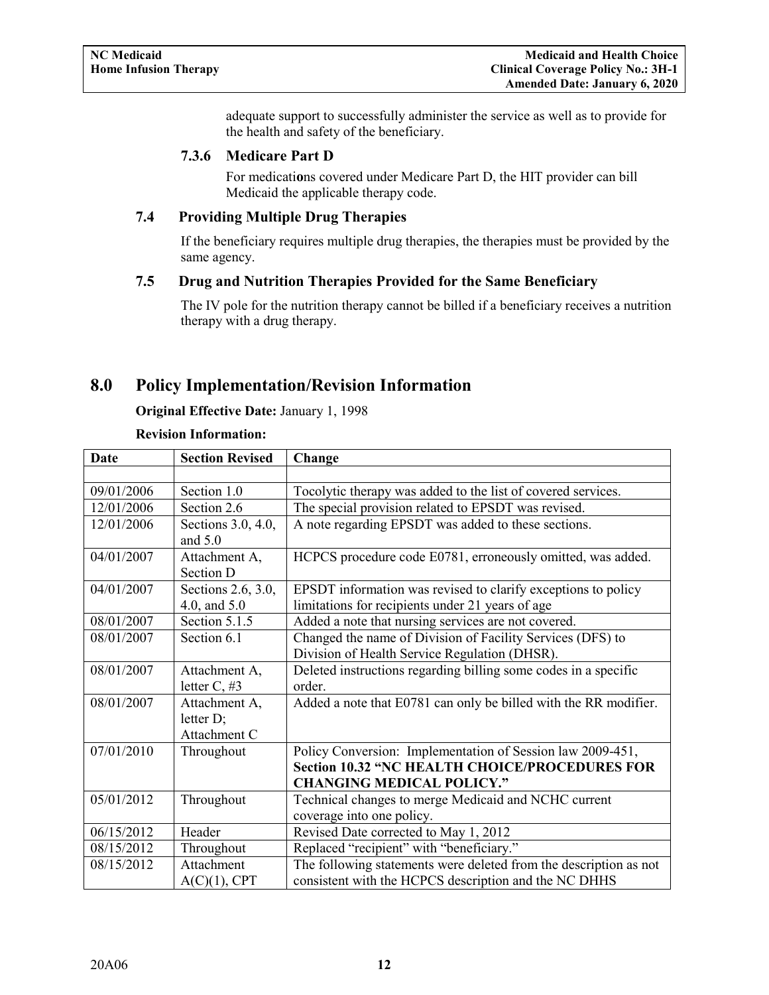adequate support to successfully administer the service as well as to provide for the health and safety of the beneficiary.

#### **7.3.6 Medicare Part D**

For medicati**o**ns covered under Medicare Part D, the HIT provider can bill Medicaid the applicable therapy code.

## <span id="page-13-1"></span><span id="page-13-0"></span>**7.4 Providing Multiple Drug Therapies**

If the beneficiary requires multiple drug therapies, the therapies must be provided by the same agency.

#### <span id="page-13-2"></span>**7.5 Drug and Nutrition Therapies Provided for the Same Beneficiary**

The IV pole for the nutrition therapy cannot be billed if a beneficiary receives a nutrition therapy with a drug therapy.

## <span id="page-13-3"></span>**8.0 Policy Implementation/Revision Information**

#### **Original Effective Date:** January 1, 1998

#### **Revision Information:**

| <b>Date</b> | <b>Section Revised</b>                     | Change                                                                                                                                                  |
|-------------|--------------------------------------------|---------------------------------------------------------------------------------------------------------------------------------------------------------|
|             |                                            |                                                                                                                                                         |
| 09/01/2006  | Section 1.0                                | Tocolytic therapy was added to the list of covered services.                                                                                            |
| 12/01/2006  | Section 2.6                                | The special provision related to EPSDT was revised.                                                                                                     |
| 12/01/2006  | Sections 3.0, 4.0,<br>and $5.0$            | A note regarding EPSDT was added to these sections.                                                                                                     |
| 04/01/2007  | Attachment A,<br>Section D                 | HCPCS procedure code E0781, erroneously omitted, was added.                                                                                             |
| 04/01/2007  | Sections 2.6, 3.0,<br>4.0, and 5.0         | EPSDT information was revised to clarify exceptions to policy<br>limitations for recipients under 21 years of age                                       |
| 08/01/2007  | Section 5.1.5                              | Added a note that nursing services are not covered.                                                                                                     |
| 08/01/2007  | Section 6.1                                | Changed the name of Division of Facility Services (DFS) to<br>Division of Health Service Regulation (DHSR).                                             |
| 08/01/2007  | Attachment A,<br>letter $C, #3$            | Deleted instructions regarding billing some codes in a specific<br>order.                                                                               |
| 08/01/2007  | Attachment A,<br>letter D;<br>Attachment C | Added a note that E0781 can only be billed with the RR modifier.                                                                                        |
| 07/01/2010  | Throughout                                 | Policy Conversion: Implementation of Session law 2009-451,<br><b>Section 10.32 "NC HEALTH CHOICE/PROCEDURES FOR</b><br><b>CHANGING MEDICAL POLICY."</b> |
| 05/01/2012  | Throughout                                 | Technical changes to merge Medicaid and NCHC current<br>coverage into one policy.                                                                       |
| 06/15/2012  | Header                                     | Revised Date corrected to May 1, 2012                                                                                                                   |
| 08/15/2012  | Throughout                                 | Replaced "recipient" with "beneficiary."                                                                                                                |
| 08/15/2012  | Attachment<br>$A(C)(1)$ , CPT              | The following statements were deleted from the description as not<br>consistent with the HCPCS description and the NC DHHS                              |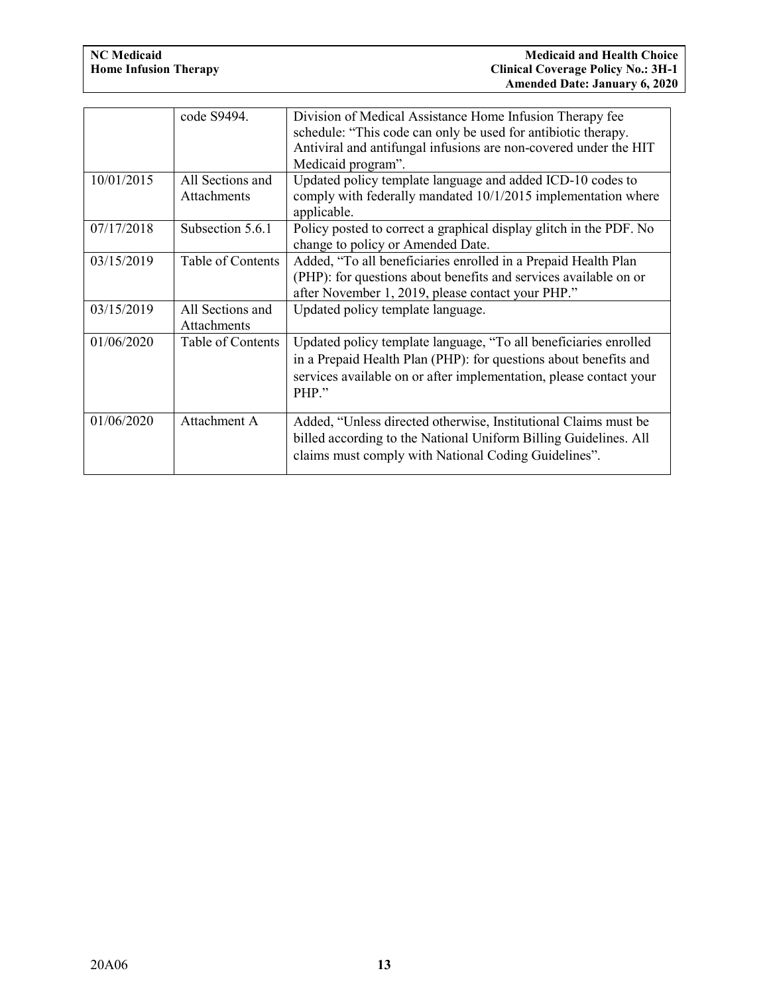|            | code S9494.                            | Division of Medical Assistance Home Infusion Therapy fee<br>schedule: "This code can only be used for antibiotic therapy.<br>Antiviral and antifungal infusions are non-covered under the HIT<br>Medicaid program". |
|------------|----------------------------------------|---------------------------------------------------------------------------------------------------------------------------------------------------------------------------------------------------------------------|
| 10/01/2015 | All Sections and<br><b>Attachments</b> | Updated policy template language and added ICD-10 codes to<br>comply with federally mandated 10/1/2015 implementation where<br>applicable.                                                                          |
| 07/17/2018 | Subsection 5.6.1                       | Policy posted to correct a graphical display glitch in the PDF. No<br>change to policy or Amended Date.                                                                                                             |
| 03/15/2019 | Table of Contents                      | Added, "To all beneficiaries enrolled in a Prepaid Health Plan<br>(PHP): for questions about benefits and services available on or<br>after November 1, 2019, please contact your PHP."                             |
| 03/15/2019 | All Sections and<br><b>Attachments</b> | Updated policy template language.                                                                                                                                                                                   |
| 01/06/2020 | Table of Contents                      | Updated policy template language, "To all beneficiaries enrolled<br>in a Prepaid Health Plan (PHP): for questions about benefits and<br>services available on or after implementation, please contact your<br>PHP." |
| 01/06/2020 | Attachment A                           | Added, "Unless directed otherwise, Institutional Claims must be<br>billed according to the National Uniform Billing Guidelines. All<br>claims must comply with National Coding Guidelines".                         |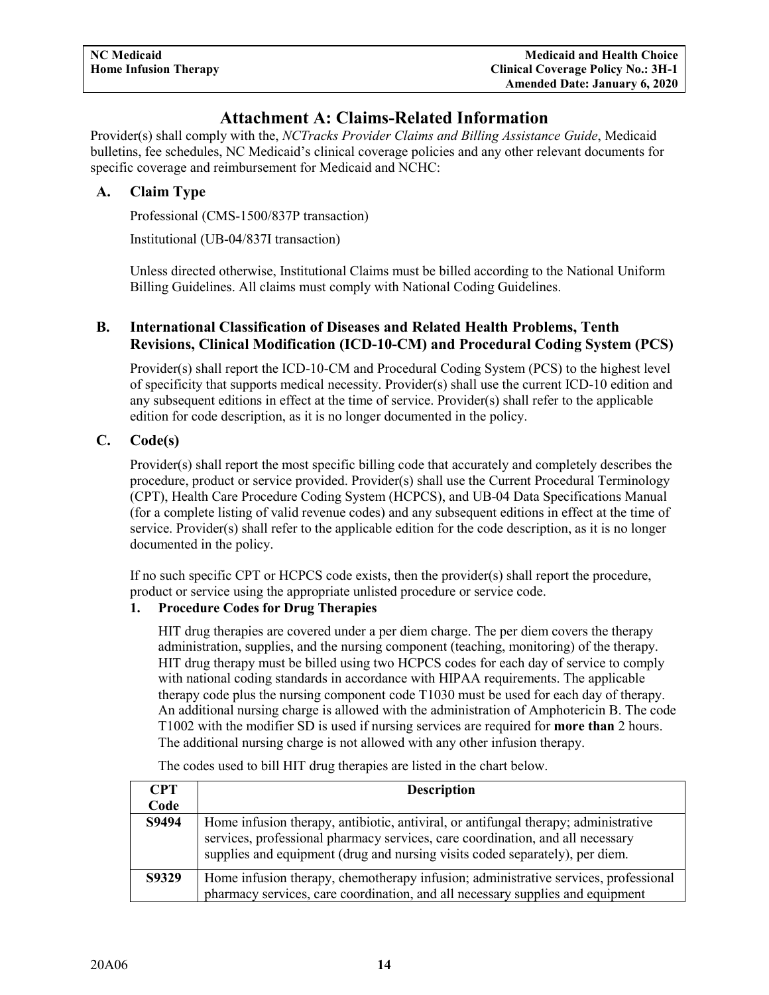## **Attachment A: Claims-Related Information**

<span id="page-15-0"></span>Provider(s) shall comply with the, *NCTracks Provider Claims and Billing Assistance Guide*, Medicaid bulletins, fee schedules, NC Medicaid's clinical coverage policies and any other relevant documents for specific coverage and reimbursement for Medicaid and NCHC:

## <span id="page-15-1"></span>**A. Claim Type**

Professional (CMS-1500/837P transaction)

Institutional (UB-04/837I transaction)

Unless directed otherwise, Institutional Claims must be billed according to the National Uniform Billing Guidelines. All claims must comply with National Coding Guidelines.

## <span id="page-15-2"></span>**B. International Classification of Diseases and Related Health Problems, Tenth Revisions, Clinical Modification (ICD-10-CM) and Procedural Coding System (PCS)**

Provider(s) shall report the ICD-10-CM and Procedural Coding System (PCS) to the highest level of specificity that supports medical necessity. Provider(s) shall use the current ICD-10 edition and any subsequent editions in effect at the time of service. Provider(s) shall refer to the applicable edition for code description, as it is no longer documented in the policy.

## <span id="page-15-3"></span>**C. Code(s)**

Provider(s) shall report the most specific billing code that accurately and completely describes the procedure, product or service provided. Provider(s) shall use the Current Procedural Terminology (CPT), Health Care Procedure Coding System (HCPCS), and UB-04 Data Specifications Manual (for a complete listing of valid revenue codes) and any subsequent editions in effect at the time of service. Provider(s) shall refer to the applicable edition for the code description, as it is no longer documented in the policy.

If no such specific CPT or HCPCS code exists, then the provider(s) shall report the procedure, product or service using the appropriate unlisted procedure or service code.

## **1. Procedure Codes for Drug Therapies**

HIT drug therapies are covered under a per diem charge. The per diem covers the therapy administration, supplies, and the nursing component (teaching, monitoring) of the therapy. HIT drug therapy must be billed using two HCPCS codes for each day of service to comply with national coding standards in accordance with HIPAA requirements. The applicable therapy code plus the nursing component code T1030 must be used for each day of therapy. An additional nursing charge is allowed with the administration of Amphotericin B. The code T1002 with the modifier SD is used if nursing services are required for **more than** 2 hours. The additional nursing charge is not allowed with any other infusion therapy.

| <b>CPT</b> | <b>Description</b>                                                                                                                                                                                                                                    |
|------------|-------------------------------------------------------------------------------------------------------------------------------------------------------------------------------------------------------------------------------------------------------|
| Code       |                                                                                                                                                                                                                                                       |
| S9494      | Home infusion therapy, antibiotic, antiviral, or antifungal therapy; administrative<br>services, professional pharmacy services, care coordination, and all necessary<br>supplies and equipment (drug and nursing visits coded separately), per diem. |
| S9329      | Home infusion therapy, chemotherapy infusion; administrative services, professional<br>pharmacy services, care coordination, and all necessary supplies and equipment                                                                                 |

The codes used to bill HIT drug therapies are listed in the chart below.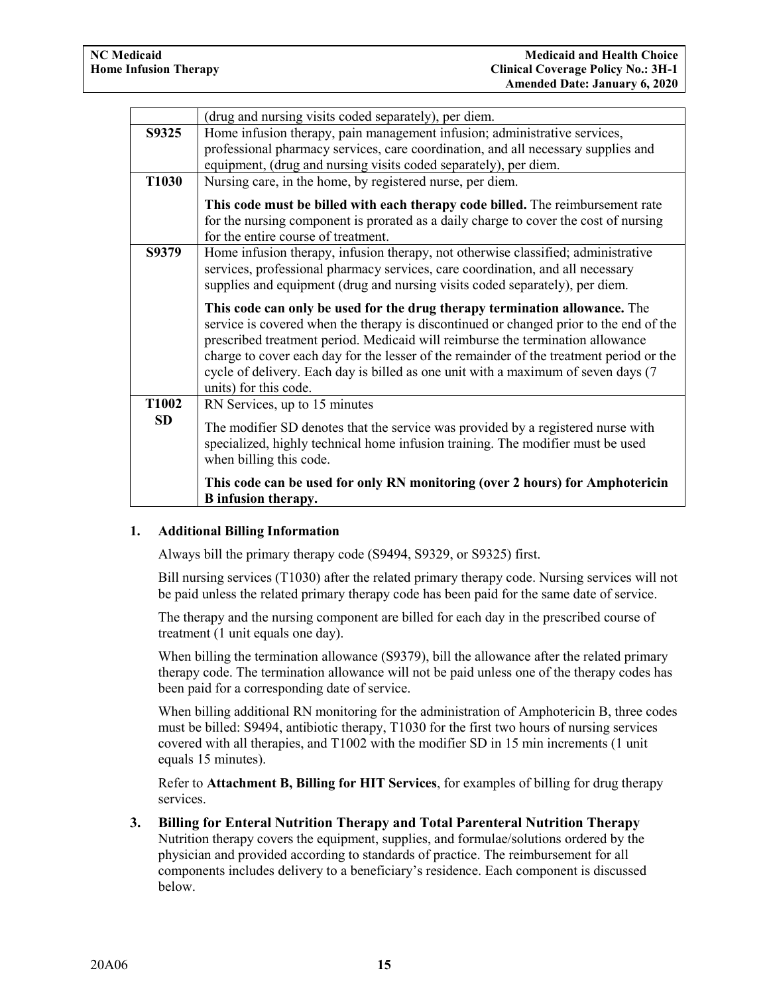|                   | (drug and nursing visits coded separately), per diem.                                                                                                                                                                                                                                                                                                                                                                                                           |  |
|-------------------|-----------------------------------------------------------------------------------------------------------------------------------------------------------------------------------------------------------------------------------------------------------------------------------------------------------------------------------------------------------------------------------------------------------------------------------------------------------------|--|
| S9325             | Home infusion therapy, pain management infusion; administrative services,                                                                                                                                                                                                                                                                                                                                                                                       |  |
|                   | professional pharmacy services, care coordination, and all necessary supplies and                                                                                                                                                                                                                                                                                                                                                                               |  |
|                   | equipment, (drug and nursing visits coded separately), per diem.                                                                                                                                                                                                                                                                                                                                                                                                |  |
| T <sub>1030</sub> | Nursing care, in the home, by registered nurse, per diem.                                                                                                                                                                                                                                                                                                                                                                                                       |  |
|                   | This code must be billed with each therapy code billed. The reimbursement rate                                                                                                                                                                                                                                                                                                                                                                                  |  |
|                   | for the nursing component is prorated as a daily charge to cover the cost of nursing                                                                                                                                                                                                                                                                                                                                                                            |  |
|                   | for the entire course of treatment.                                                                                                                                                                                                                                                                                                                                                                                                                             |  |
| S9379             | Home infusion therapy, infusion therapy, not otherwise classified; administrative                                                                                                                                                                                                                                                                                                                                                                               |  |
|                   | services, professional pharmacy services, care coordination, and all necessary                                                                                                                                                                                                                                                                                                                                                                                  |  |
|                   | supplies and equipment (drug and nursing visits coded separately), per diem.                                                                                                                                                                                                                                                                                                                                                                                    |  |
|                   | This code can only be used for the drug therapy termination allowance. The<br>service is covered when the therapy is discontinued or changed prior to the end of the<br>prescribed treatment period. Medicaid will reimburse the termination allowance<br>charge to cover each day for the lesser of the remainder of the treatment period or the<br>cycle of delivery. Each day is billed as one unit with a maximum of seven days (7<br>units) for this code. |  |
| T <sub>1002</sub> | RN Services, up to 15 minutes                                                                                                                                                                                                                                                                                                                                                                                                                                   |  |
| <b>SD</b>         | The modifier SD denotes that the service was provided by a registered nurse with<br>specialized, highly technical home infusion training. The modifier must be used<br>when billing this code.                                                                                                                                                                                                                                                                  |  |
|                   | This code can be used for only RN monitoring (over 2 hours) for Amphotericin<br><b>B</b> infusion therapy.                                                                                                                                                                                                                                                                                                                                                      |  |

#### **1. Additional Billing Information**

Always bill the primary therapy code (S9494, S9329, or S9325) first.

Bill nursing services (T1030) after the related primary therapy code. Nursing services will not be paid unless the related primary therapy code has been paid for the same date of service.

The therapy and the nursing component are billed for each day in the prescribed course of treatment (1 unit equals one day).

When billing the termination allowance (S9379), bill the allowance after the related primary therapy code. The termination allowance will not be paid unless one of the therapy codes has been paid for a corresponding date of service.

When billing additional RN monitoring for the administration of Amphotericin B, three codes must be billed: S9494, antibiotic therapy, T1030 for the first two hours of nursing services covered with all therapies, and T1002 with the modifier SD in 15 min increments (1 unit equals 15 minutes).

Refer to **Attachment B, Billing for HIT Services**, for examples of billing for drug therapy services.

#### **3. Billing for Enteral Nutrition Therapy and Total Parenteral Nutrition Therapy**  Nutrition therapy covers the equipment, supplies, and formulae/solutions ordered by the physician and provided according to standards of practice. The reimbursement for all components includes delivery to a beneficiary's residence. Each component is discussed below.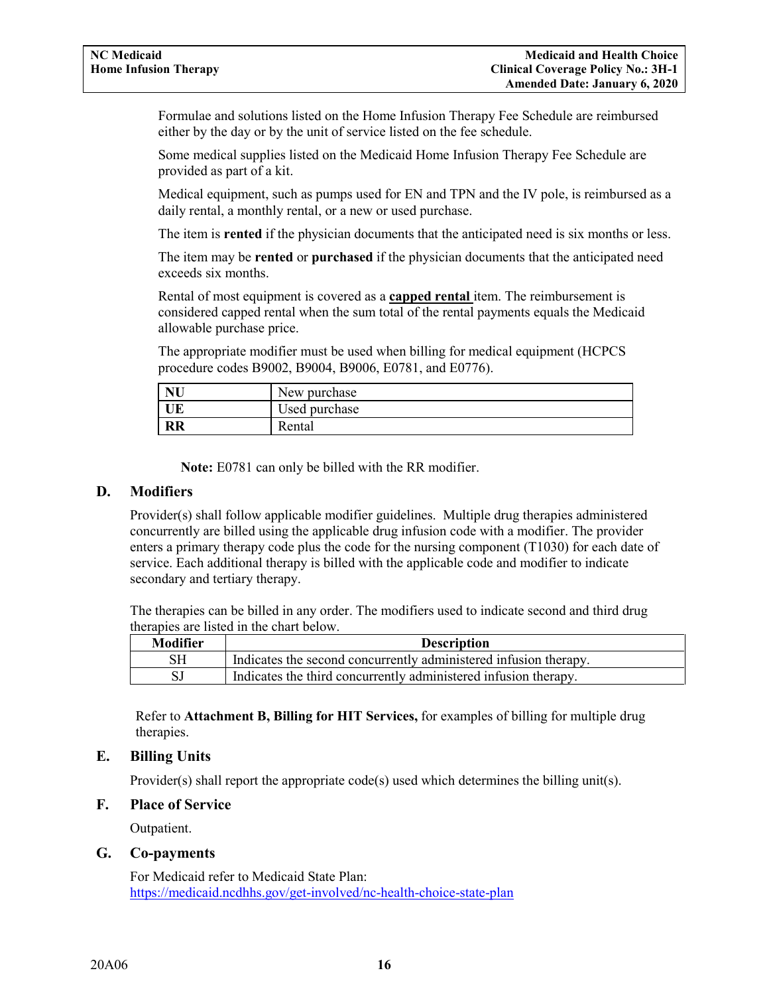Formulae and solutions listed on the Home Infusion Therapy Fee Schedule are reimbursed either by the day or by the unit of service listed on the fee schedule.

Some medical supplies listed on the Medicaid Home Infusion Therapy Fee Schedule are provided as part of a kit.

Medical equipment, such as pumps used for EN and TPN and the IV pole, is reimbursed as a daily rental, a monthly rental, or a new or used purchase.

The item is **rented** if the physician documents that the anticipated need is six months or less.

The item may be **rented** or **purchased** if the physician documents that the anticipated need exceeds six months.

Rental of most equipment is covered as a **capped rental** item. The reimbursement is considered capped rental when the sum total of the rental payments equals the Medicaid allowable purchase price.

The appropriate modifier must be used when billing for medical equipment (HCPCS procedure codes B9002, B9004, B9006, E0781, and E0776).

| <b>NU</b> | New purchase  |
|-----------|---------------|
| UE        | Jsed purchase |
| RR        | Rental        |

**Note:** E0781 can only be billed with the RR modifier.

#### <span id="page-17-0"></span>**D. Modifiers**

Provider(s) shall follow applicable modifier guidelines. Multiple drug therapies administered concurrently are billed using the applicable drug infusion code with a modifier. The provider enters a primary therapy code plus the code for the nursing component (T1030) for each date of service. Each additional therapy is billed with the applicable code and modifier to indicate secondary and tertiary therapy.

The therapies can be billed in any order. The modifiers used to indicate second and third drug therapies are listed in the chart below.

| Modifier | <b>Description</b>                                               |
|----------|------------------------------------------------------------------|
| SН       | Indicates the second concurrently administered infusion therapy. |
|          | Indicates the third concurrently administered infusion therapy.  |

Refer to **Attachment B, Billing for HIT Services,** for examples of billing for multiple drug therapies.

## <span id="page-17-1"></span>**E. Billing Units**

Provider(s) shall report the appropriate code(s) used which determines the billing unit(s).

#### <span id="page-17-2"></span>**F. Place of Service**

Outpatient.

#### <span id="page-17-3"></span>**G. Co-payments**

For Medicaid refer to Medicaid State Plan: <https://medicaid.ncdhhs.gov/get-involved/nc-health-choice-state-plan>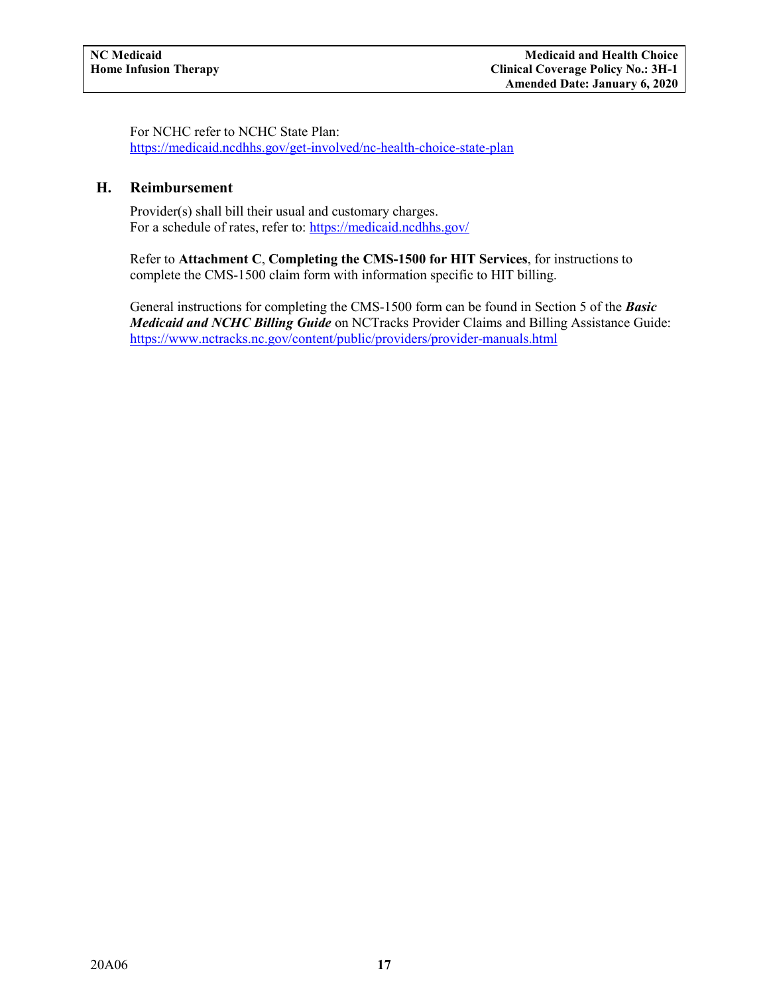For NCHC refer to NCHC State Plan: <https://medicaid.ncdhhs.gov/get-involved/nc-health-choice-state-plan>

#### <span id="page-18-0"></span>**H. Reimbursement**

Provider(s) shall bill their usual and customary charges. For a schedule of rates, refer to:<https://medicaid.ncdhhs.gov/>

Refer to **Attachment C**, **Completing the CMS-1500 for HIT Services**, for instructions to complete the CMS-1500 claim form with information specific to HIT billing.

General instructions for completing the CMS-1500 form can be found in Section 5 of the *Basic Medicaid and NCHC Billing Guide* on NCTracks Provider Claims and Billing Assistance Guide: <https://www.nctracks.nc.gov/content/public/providers/provider-manuals.html>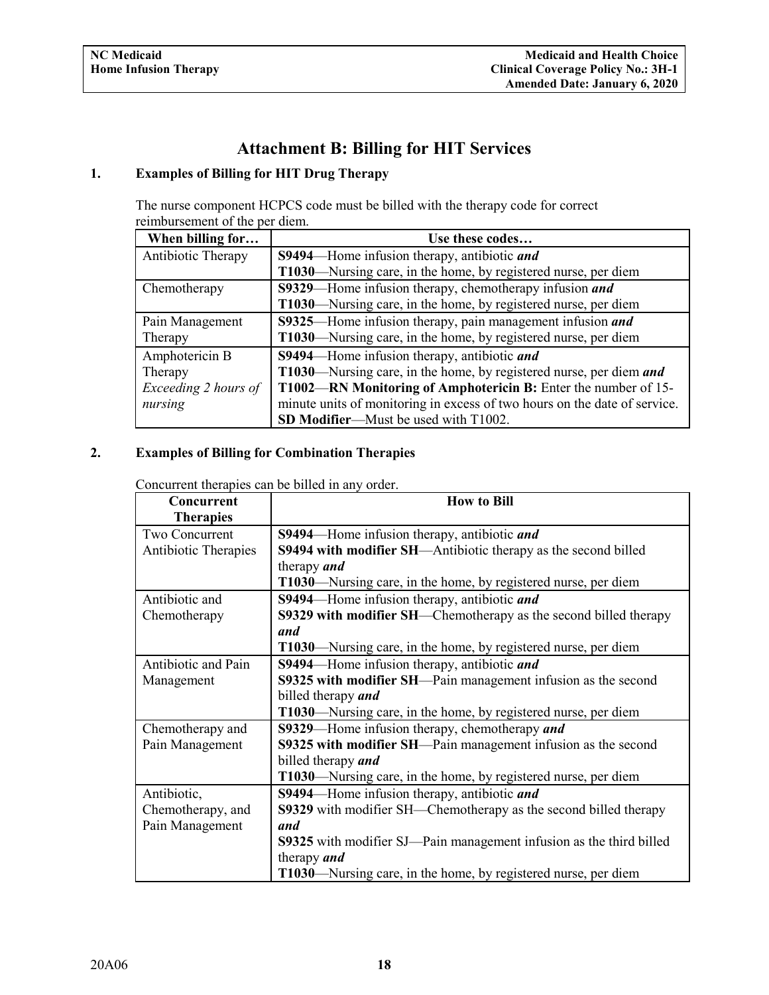# **Attachment B: Billing for HIT Services**

## <span id="page-19-1"></span><span id="page-19-0"></span>**1. Examples of Billing for HIT Drug Therapy**

The nurse component HCPCS code must be billed with the therapy code for correct reimbursement of the per diem.

| When billing for     | Use these codes                                                           |
|----------------------|---------------------------------------------------------------------------|
| Antibiotic Therapy   | S9494—Home infusion therapy, antibiotic and                               |
|                      | T1030—Nursing care, in the home, by registered nurse, per diem            |
| Chemotherapy         | S9329—Home infusion therapy, chemotherapy infusion and                    |
|                      | T1030—Nursing care, in the home, by registered nurse, per diem            |
| Pain Management      | S9325—Home infusion therapy, pain management infusion and                 |
| Therapy              | T1030—Nursing care, in the home, by registered nurse, per diem            |
| Amphotericin B       | <b>S9494</b> —Home infusion therapy, antibiotic <i>and</i>                |
| Therapy              | T1030—Nursing care, in the home, by registered nurse, per diem and        |
| Exceeding 2 hours of | T1002—RN Monitoring of Amphotericin B: Enter the number of 15-            |
| nursing              | minute units of monitoring in excess of two hours on the date of service. |
|                      | SD Modifier-Must be used with T1002.                                      |

## **2. Examples of Billing for Combination Therapies**

Concurrent therapies can be billed in any order.

| Concurrent           | <b>How to Bill</b>                                                      |
|----------------------|-------------------------------------------------------------------------|
| <b>Therapies</b>     |                                                                         |
| Two Concurrent       | S9494—Home infusion therapy, antibiotic and                             |
| Antibiotic Therapies | S9494 with modifier SH—Antibiotic therapy as the second billed          |
|                      | therapy <i>and</i>                                                      |
|                      | T1030—Nursing care, in the home, by registered nurse, per diem          |
| Antibiotic and       | <b>S9494</b> —Home infusion therapy, antibiotic <i>and</i>              |
| Chemotherapy         | S9329 with modifier SH—Chemotherapy as the second billed therapy        |
|                      | and                                                                     |
|                      | T1030—Nursing care, in the home, by registered nurse, per diem          |
| Antibiotic and Pain  | S9494—Home infusion therapy, antibiotic and                             |
| Management           | S9325 with modifier SH—Pain management infusion as the second           |
|                      | billed therapy and                                                      |
|                      | T1030—Nursing care, in the home, by registered nurse, per diem          |
| Chemotherapy and     | S9329—Home infusion therapy, chemotherapy and                           |
| Pain Management      | S9325 with modifier SH—Pain management infusion as the second           |
|                      | billed therapy and                                                      |
|                      | T1030—Nursing care, in the home, by registered nurse, per diem          |
| Antibiotic,          | S9494—Home infusion therapy, antibiotic and                             |
| Chemotherapy, and    | <b>S9329</b> with modifier SH—Chemotherapy as the second billed therapy |
| Pain Management      | and                                                                     |
|                      | S9325 with modifier SJ—Pain management infusion as the third billed     |
|                      | therapy <i>and</i>                                                      |
|                      | T1030—Nursing care, in the home, by registered nurse, per diem          |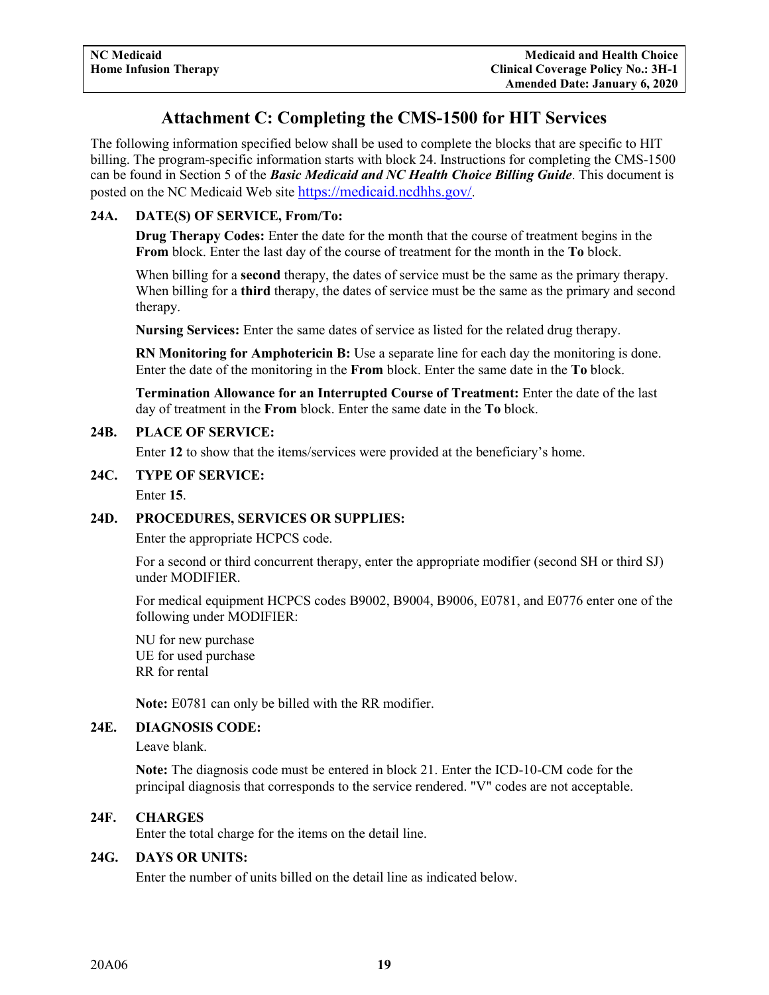## **Attachment C: Completing the CMS-1500 for HIT Services**

The following information specified below shall be used to complete the blocks that are specific to HIT billing. The program-specific information starts with block 24. Instructions for completing the CMS-1500 can be found in Section 5 of the *Basic Medicaid and NC Health Choice Billing Guide*. This document is posted on the NC Medicaid Web site [https://medicaid.ncdhhs.gov/.](https://medicaid.ncdhhs.gov/)

## **24A. DATE(S) OF SERVICE, From/To:**

**Drug Therapy Codes:** Enter the date for the month that the course of treatment begins in the **From** block. Enter the last day of the course of treatment for the month in the **To** block.

When billing for a **second** therapy, the dates of service must be the same as the primary therapy. When billing for a **third** therapy, the dates of service must be the same as the primary and second therapy.

**Nursing Services:** Enter the same dates of service as listed for the related drug therapy.

**RN Monitoring for Amphotericin B:** Use a separate line for each day the monitoring is done. Enter the date of the monitoring in the **From** block. Enter the same date in the **To** block.

**Termination Allowance for an Interrupted Course of Treatment:** Enter the date of the last day of treatment in the **From** block. Enter the same date in the **To** block.

## **24B. PLACE OF SERVICE:**

Enter **12** to show that the items/services were provided at the beneficiary's home.

#### **24C. TYPE OF SERVICE:**

Enter **15**.

## **24D. PROCEDURES, SERVICES OR SUPPLIES:**

Enter the appropriate HCPCS code.

For a second or third concurrent therapy, enter the appropriate modifier (second SH or third SJ) under MODIFIER.

For medical equipment HCPCS codes B9002, B9004, B9006, E0781, and E0776 enter one of the following under MODIFIER:

NU for new purchase UE for used purchase RR for rental

**Note:** E0781 can only be billed with the RR modifier.

#### **24E. DIAGNOSIS CODE:**

Leave blank.

**Note:** The diagnosis code must be entered in block 21. Enter the ICD-10-CM code for the principal diagnosis that corresponds to the service rendered. "V" codes are not acceptable.

#### **24F. CHARGES**

Enter the total charge for the items on the detail line.

#### **24G. DAYS OR UNITS:**

Enter the number of units billed on the detail line as indicated below.